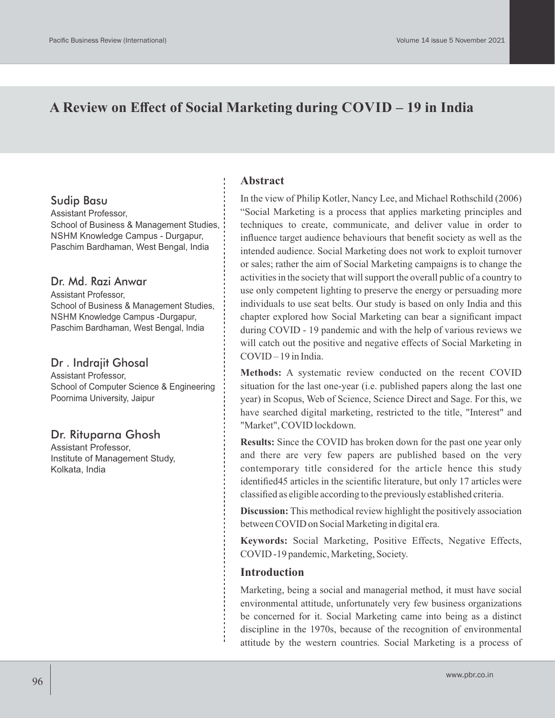# **A Review on Effect of Social Marketing during COVID – 19 in India**

## Sudip Basu

Assistant Professor, School of Business & Management Studies, NSHM Knowledge Campus - Durgapur, Paschim Bardhaman, West Bengal, India

## Dr. Md. Razi Anwar

Assistant Professor, School of Business & Management Studies, NSHM Knowledge Campus -Durgapur, Paschim Bardhaman, West Bengal, India

## Dr . Indrajit Ghosal

Assistant Professor, School of Computer Science & Engineering Poornima University, Jaipur

## Dr. Rituparna Ghosh

Assistant Professor, Institute of Management Study, Kolkata, India

## **Abstract**

In the view of Philip Kotler, Nancy Lee, and Michael Rothschild (2006) "Social Marketing is a process that applies marketing principles and techniques to create, communicate, and deliver value in order to influence target audience behaviours that benefit society as well as the intended audience. Social Marketing does not work to exploit turnover or sales; rather the aim of Social Marketing campaigns is to change the activities in the society that will support the overall public of a country to use only competent lighting to preserve the energy or persuading more individuals to use seat belts. Our study is based on only India and this chapter explored how Social Marketing can bear a significant impact during COVID - 19 pandemic and with the help of various reviews we will catch out the positive and negative effects of Social Marketing in COVID – 19 in India.

**Methods:** A systematic review conducted on the recent COVID situation for the last one-year (i.e. published papers along the last one year) in Scopus, Web of Science, Science Direct and Sage. For this, we have searched digital marketing, restricted to the title, "Interest" and "Market", COVID lockdown.

**Results:** Since the COVID has broken down for the past one year only and there are very few papers are published based on the very contemporary title considered for the article hence this study identified45 articles in the scientific literature, but only 17 articles were classified as eligible according to the previously established criteria.

**Discussion:** This methodical review highlight the positively association between COVID on Social Marketing in digital era.

**Keywords:** Social Marketing, Positive Effects, Negative Effects, COVID -19 pandemic, Marketing, Society.

## **Introduction**

Marketing, being a social and managerial method, it must have social environmental attitude, unfortunately very few business organizations be concerned for it. Social Marketing came into being as a distinct discipline in the 1970s, because of the recognition of environmental attitude by the western countries. Social Marketing is a process of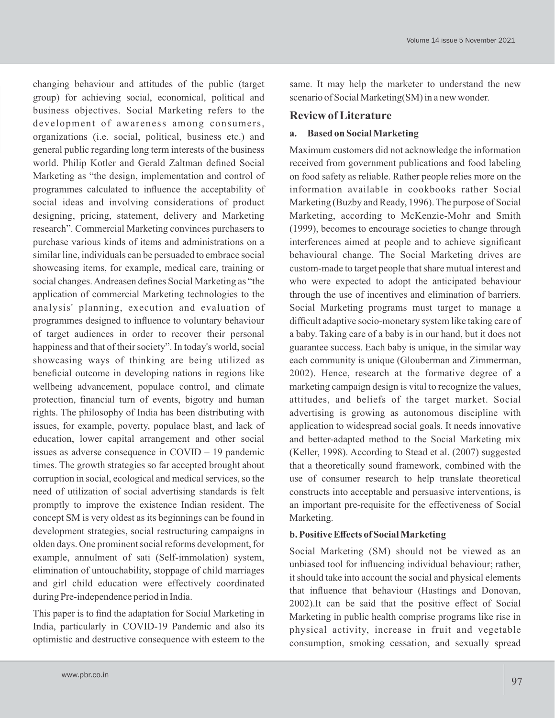changing behaviour and attitudes of the public (target group) for achieving social, economical, political and business objectives. Social Marketing refers to the development of awareness among consumers, organizations (i.e. social, political, business etc.) and general public regarding long term interests of the business world. Philip Kotler and Gerald Zaltman defined Social Marketing as "the design, implementation and control of programmes calculated to influence the acceptability of social ideas and involving considerations of product designing, pricing, statement, delivery and Marketing research". Commercial Marketing convinces purchasers to purchase various kinds of items and administrations on a similar line, individuals can be persuaded to embrace social showcasing items, for example, medical care, training or social changes. Andreasen defines Social Marketing as "the application of commercial Marketing technologies to the analysis' planning, execution and evaluation of programmes designed to influence to voluntary behaviour of target audiences in order to recover their personal happiness and that of their society". In today's world, social showcasing ways of thinking are being utilized as beneficial outcome in developing nations in regions like wellbeing advancement, populace control, and climate protection, financial turn of events, bigotry and human rights. The philosophy of India has been distributing with issues, for example, poverty, populace blast, and lack of education, lower capital arrangement and other social issues as adverse consequence in COVID – 19 pandemic times. The growth strategies so far accepted brought about corruption in social, ecological and medical services, so the need of utilization of social advertising standards is felt promptly to improve the existence Indian resident. The concept SM is very oldest as its beginnings can be found in development strategies, social restructuring campaigns in olden days. One prominent social reforms development, for example, annulment of sati (Self-immolation) system, elimination of untouchability, stoppage of child marriages and girl child education were effectively coordinated during Pre-independence period in India.

This paper is to find the adaptation for Social Marketing in India, particularly in COVID-19 Pandemic and also its optimistic and destructive consequence with esteem to the

same. It may help the marketer to understand the new scenario of Social Marketing(SM) in a new wonder.

### **Review of Literature**

#### **a. Based on Social Marketing**

Maximum customers did not acknowledge the information received from government publications and food labeling on food safety as reliable. Rather people relies more on the information available in cookbooks rather Social Marketing (Buzby and Ready, 1996). The purpose of Social Marketing, according to McKenzie-Mohr and Smith (1999), becomes to encourage societies to change through interferences aimed at people and to achieve significant behavioural change. The Social Marketing drives are custom-made to target people that share mutual interest and who were expected to adopt the anticipated behaviour through the use of incentives and elimination of barriers. Social Marketing programs must target to manage a difficult adaptive socio-monetary system like taking care of a baby. Taking care of a baby is in our hand, but it does not guarantee success. Each baby is unique, in the similar way each community is unique (Glouberman and Zimmerman, 2002). Hence, research at the formative degree of a marketing campaign design is vital to recognize the values, attitudes, and beliefs of the target market. Social advertising is growing as autonomous discipline with application to widespread social goals. It needs innovative and better-adapted method to the Social Marketing mix (Keller, 1998). According to Stead et al. (2007) suggested that a theoretically sound framework, combined with the use of consumer research to help translate theoretical constructs into acceptable and persuasive interventions, is an important pre-requisite for the effectiveness of Social Marketing.

#### **b. Positive Effects of Social Marketing**

Social Marketing (SM) should not be viewed as an unbiased tool for influencing individual behaviour; rather, it should take into account the social and physical elements that influence that behaviour (Hastings and Donovan, 2002).It can be said that the positive effect of Social Marketing in public health comprise programs like rise in physical activity, increase in fruit and vegetable consumption, smoking cessation, and sexually spread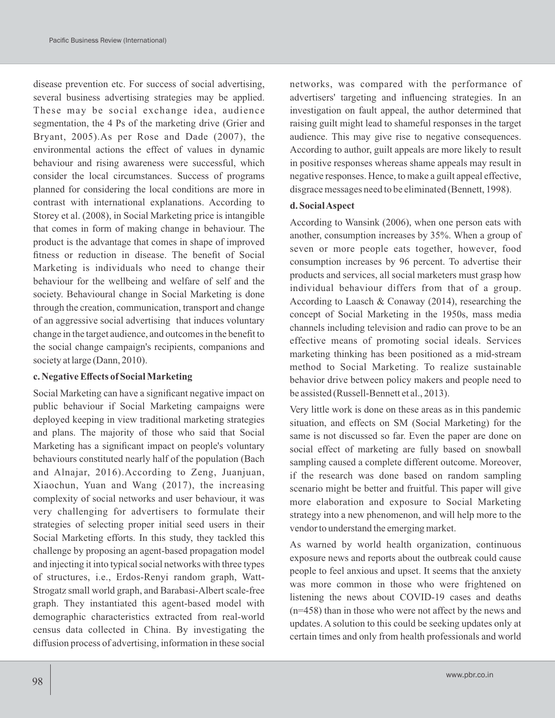disease prevention etc. For success of social advertising, several business advertising strategies may be applied. These may be social exchange idea, audience segmentation, the 4 Ps of the marketing drive (Grier and Bryant, 2005).As per Rose and Dade (2007), the environmental actions the effect of values in dynamic behaviour and rising awareness were successful, which consider the local circumstances. Success of programs planned for considering the local conditions are more in contrast with international explanations. According to Storey et al. (2008), in Social Marketing price is intangible that comes in form of making change in behaviour. The product is the advantage that comes in shape of improved fitness or reduction in disease. The benefit of Social Marketing is individuals who need to change their behaviour for the wellbeing and welfare of self and the society. Behavioural change in Social Marketing is done through the creation, communication, transport and change of an aggressive social advertising that induces voluntary change in the target audience, and outcomes in the benefit to the social change campaign's recipients, companions and society at large (Dann, 2010).

### **c. Negative Effects of Social Marketing**

Social Marketing can have a significant negative impact on public behaviour if Social Marketing campaigns were deployed keeping in view traditional marketing strategies and plans. The majority of those who said that Social Marketing has a significant impact on people's voluntary behaviours constituted nearly half of the population (Bach and Alnajar, 2016).According to Zeng, Juanjuan, Xiaochun, Yuan and Wang (2017), the increasing complexity of social networks and user behaviour, it was very challenging for advertisers to formulate their strategies of selecting proper initial seed users in their Social Marketing efforts. In this study, they tackled this challenge by proposing an agent-based propagation model and injecting it into typical social networks with three types of structures, i.e., Erdos-Renyi random graph, Watt-Strogatz small world graph, and Barabasi-Albert scale-free graph. They instantiated this agent-based model with demographic characteristics extracted from real-world census data collected in China. By investigating the diffusion process of advertising, information in these social networks, was compared with the performance of advertisers' targeting and influencing strategies. In an investigation on fault appeal, the author determined that raising guilt might lead to shameful responses in the target audience. This may give rise to negative consequences. According to author, guilt appeals are more likely to result in positive responses whereas shame appeals may result in negative responses. Hence, to make a guilt appeal effective, disgrace messages need to be eliminated (Bennett, 1998).

### **d. Social Aspect**

According to Wansink (2006), when one person eats with another, consumption increases by 35%. When a group of seven or more people eats together, however, food consumption increases by 96 percent. To advertise their products and services, all social marketers must grasp how individual behaviour differs from that of a group. According to Laasch & Conaway (2014), researching the concept of Social Marketing in the 1950s, mass media channels including television and radio can prove to be an effective means of promoting social ideals. Services marketing thinking has been positioned as a mid-stream method to Social Marketing. To realize sustainable behavior drive between policy makers and people need to be assisted (Russell-Bennett et al., 2013).

Very little work is done on these areas as in this pandemic situation, and effects on SM (Social Marketing) for the same is not discussed so far. Even the paper are done on social effect of marketing are fully based on snowball sampling caused a complete different outcome. Moreover, if the research was done based on random sampling scenario might be better and fruitful. This paper will give more elaboration and exposure to Social Marketing strategy into a new phenomenon, and will help more to the vendor to understand the emerging market.

As warned by world health organization, continuous exposure news and reports about the outbreak could cause people to feel anxious and upset. It seems that the anxiety was more common in those who were frightened on listening the news about COVID-19 cases and deaths (n=458) than in those who were not affect by the news and updates. A solution to this could be seeking updates only at certain times and only from health professionals and world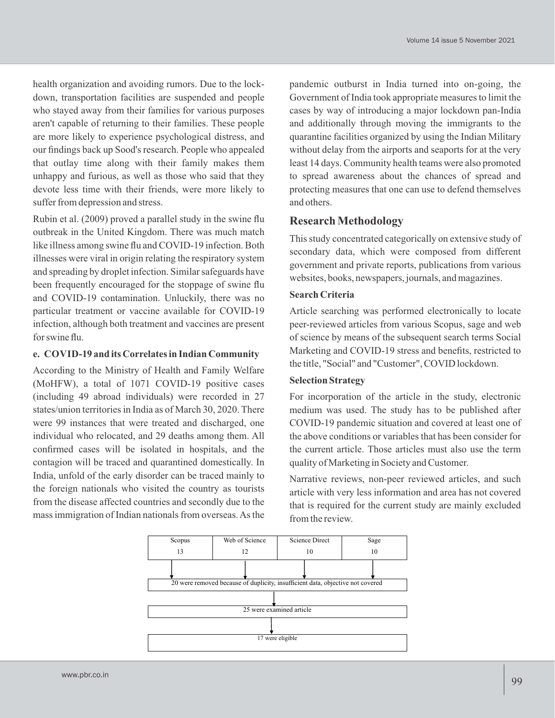health organization and avoiding rumors. Due to the lockdown, transportation facilities are suspended and people who stayed away from their families for various purposes aren't capable of returning to their families. These people are more likely to experience psychological distress, and our findings back up Sood's research. People who appealed that outlay time along with their family makes them unhappy and furious, as well as those who said that they devote less time with their friends, were more likely to suffer from depression and stress.

Rubin et al. (2009) proved a parallel study in the swine flu outbreak in the United Kingdom. There was much match like illness among swine flu and COVID-19 infection. Both illnesses were viral in origin relating the respiratory system and spreading by droplet infection. Similar safeguards have been frequently encouraged for the stoppage of swine flu and COVID-19 contamination. Unluckily, there was no particular treatment or vaccine available for COVID-19 infection, although both treatment and vaccines are present for swine flu.

#### **e. COVID-19 and its Correlates in Indian Community**

According to the Ministry of Health and Family Welfare (MoHFW), a total of 1071 COVID-19 positive cases (including 49 abroad individuals) were recorded in 27 states/union territories in India as of March 30, 2020. There were 99 instances that were treated and discharged, one individual who relocated, and 29 deaths among them. All confirmed cases will be isolated in hospitals, and the contagion will be traced and quarantined domestically. In India, unfold of the early disorder can be traced mainly to the foreign nationals who visited the country as tourists from the disease affected countries and secondly due to the mass immigration of Indian nationals from overseas. As the pandemic outburst in India turned into on-going, the Government of India took appropriate measures to limit the cases by way of introducing a major lockdown pan-India and additionally through moving the immigrants to the quarantine facilities organized by using the Indian Military without delay from the airports and seaports for at the very least 14 days. Community health teams were also promoted to spread awareness about the chances of spread and protecting measures that one can use to defend themselves and others.

### **Research Methodology**

This study concentrated categorically on extensive study of secondary data, which were composed from different government and private reports, publications from various websites, books, newspapers, journals, and magazines.

### **Search Criteria**

Article searching was performed electronically to locate peer-reviewed articles from various Scopus, sage and web of science by means of the subsequent search terms Social Marketing and COVID-19 stress and benefits, restricted to the title, "Social" and "Customer", COVID lockdown.

### **Selection Strategy**

For incorporation of the article in the study, electronic medium was used. The study has to be published after COVID-19 pandemic situation and covered at least one of the above conditions or variables that has been consider for the current article. Those articles must also use the term quality of Marketing in Society and Customer.

Narrative reviews, non-peer reviewed articles, and such article with very less information and area has not covered that is required for the current study are mainly excluded from the review.

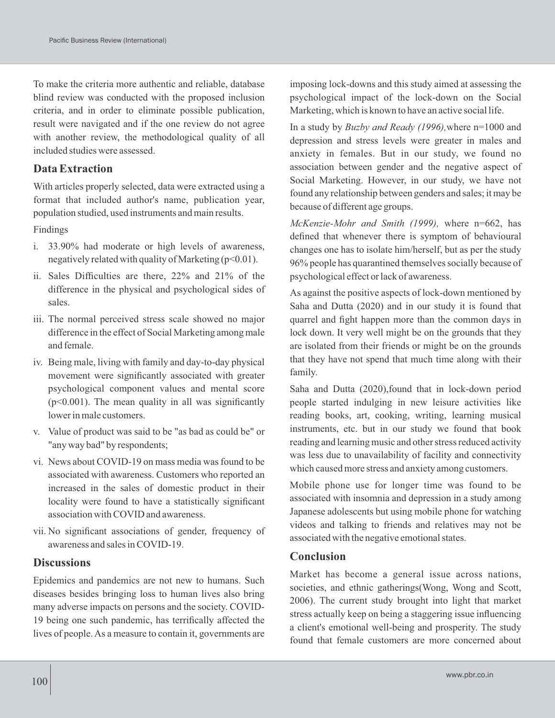To make the criteria more authentic and reliable, database blind review was conducted with the proposed inclusion criteria, and in order to eliminate possible publication, result were navigated and if the one review do not agree with another review, the methodological quality of all included studies were assessed.

## **Data Extraction**

With articles properly selected, data were extracted using a format that included author's name, publication year, population studied, used instruments and main results.

Findings

- i. 33.90% had moderate or high levels of awareness, negatively related with quality of Marketing  $(p<0.01)$ .
- ii. Sales Difficulties are there, 22% and 21% of the difference in the physical and psychological sides of sales.
- iii. The normal perceived stress scale showed no major difference in the effect of Social Marketing among male and female.
- iv. Being male, living with family and day-to-day physical movement were significantly associated with greater psychological component values and mental score  $(p<0.001)$ . The mean quality in all was significantly lower in male customers.
- v. Value of product was said to be "as bad as could be" or "any way bad" by respondents;
- vi. News about COVID-19 on mass media was found to be associated with awareness. Customers who reported an increased in the sales of domestic product in their locality were found to have a statistically significant association with COVID and awareness.
- vii. No significant associations of gender, frequency of awareness and sales in COVID-19.

## **Discussions**

Epidemics and pandemics are not new to humans. Such diseases besides bringing loss to human lives also bring many adverse impacts on persons and the society. COVID-19 being one such pandemic, has terrifically affected the lives of people. As a measure to contain it, governments are imposing lock-downs and this study aimed at assessing the psychological impact of the lock-down on the Social Marketing, which is known to have an active social life.

In a study by *Buzby and Ready (1996),*where n=1000 and depression and stress levels were greater in males and anxiety in females. But in our study, we found no association between gender and the negative aspect of Social Marketing. However, in our study, we have not found any relationship between genders and sales; it may be because of different age groups.

*McKenzie-Mohr and Smith (1999),* where n=662, has defined that whenever there is symptom of behavioural changes one has to isolate him/herself, but as per the study 96% people has quarantined themselves socially because of psychological effect or lack of awareness.

As against the positive aspects of lock-down mentioned by Saha and Dutta (2020) and in our study it is found that quarrel and fight happen more than the common days in lock down. It very well might be on the grounds that they are isolated from their friends or might be on the grounds that they have not spend that much time along with their family.

Saha and Dutta (2020),found that in lock-down period people started indulging in new leisure activities like reading books, art, cooking, writing, learning musical instruments, etc. but in our study we found that book reading and learning music and other stress reduced activity was less due to unavailability of facility and connectivity which caused more stress and anxiety among customers.

Mobile phone use for longer time was found to be associated with insomnia and depression in a study among Japanese adolescents but using mobile phone for watching videos and talking to friends and relatives may not be associated with the negative emotional states.

### **Conclusion**

Market has become a general issue across nations, societies, and ethnic gatherings(Wong, Wong and Scott, 2006). The current study brought into light that market stress actually keep on being a staggering issue influencing a client's emotional well-being and prosperity. The study found that female customers are more concerned about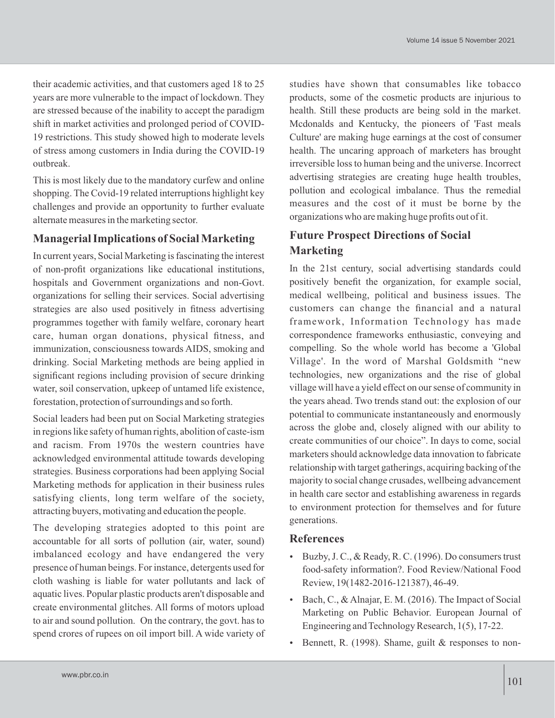their academic activities, and that customers aged 18 to 25 years are more vulnerable to the impact of lockdown. They are stressed because of the inability to accept the paradigm shift in market activities and prolonged period of COVID-19 restrictions. This study showed high to moderate levels of stress among customers in India during the COVID-19 outbreak.

This is most likely due to the mandatory curfew and online shopping. The Covid-19 related interruptions highlight key challenges and provide an opportunity to further evaluate alternate measures in the marketing sector.

## **Managerial Implications of Social Marketing**

In current years, Social Marketing is fascinating the interest of non-profit organizations like educational institutions, hospitals and Government organizations and non-Govt. organizations for selling their services. Social advertising strategies are also used positively in fitness advertising programmes together with family welfare, coronary heart care, human organ donations, physical fitness, and immunization, consciousness towards AIDS, smoking and drinking. Social Marketing methods are being applied in significant regions including provision of secure drinking water, soil conservation, upkeep of untamed life existence, forestation, protection of surroundings and so forth.

Social leaders had been put on Social Marketing strategies in regions like safety of human rights, abolition of caste-ism and racism. From 1970s the western countries have acknowledged environmental attitude towards developing strategies. Business corporations had been applying Social Marketing methods for application in their business rules satisfying clients, long term welfare of the society, attracting buyers, motivating and education the people.

The developing strategies adopted to this point are accountable for all sorts of pollution (air, water, sound) imbalanced ecology and have endangered the very presence of human beings. For instance, detergents used for cloth washing is liable for water pollutants and lack of aquatic lives. Popular plastic products aren't disposable and create environmental glitches. All forms of motors upload to air and sound pollution. On the contrary, the govt. has to spend crores of rupees on oil import bill. A wide variety of studies have shown that consumables like tobacco products, some of the cosmetic products are injurious to health. Still these products are being sold in the market. Mcdonalds and Kentucky, the pioneers of 'Fast meals Culture' are making huge earnings at the cost of consumer health. The uncaring approach of marketers has brought irreversible loss to human being and the universe. Incorrect advertising strategies are creating huge health troubles, pollution and ecological imbalance. Thus the remedial measures and the cost of it must be borne by the organizations who are making huge profits out of it.

# **Future Prospect Directions of Social Marketing**

In the 21st century, social advertising standards could positively benefit the organization, for example social, medical wellbeing, political and business issues. The customers can change the financial and a natural framework, Information Technology has made correspondence frameworks enthusiastic, conveying and compelling. So the whole world has become a 'Global Village'. In the word of Marshal Goldsmith "new technologies, new organizations and the rise of global village will have a yield effect on our sense of community in the years ahead. Two trends stand out: the explosion of our potential to communicate instantaneously and enormously across the globe and, closely aligned with our ability to create communities of our choice". In days to come, social marketers should acknowledge data innovation to fabricate relationship with target gatherings, acquiring backing of the majority to social change crusades, wellbeing advancement in health care sector and establishing awareness in regards to environment protection for themselves and for future generations.

## **References**

- Buzby, J. C., & Ready, R. C. (1996). Do consumers trust food-safety information?. Food Review/National Food Review, 19(1482-2016-121387), 46-49.
- Bach, C., & Alnajar, E. M. (2016). The Impact of Social Marketing on Public Behavior. European Journal of Engineering and Technology Research, 1(5), 17-22.
- Bennett, R. (1998). Shame, guilt & responses to non-